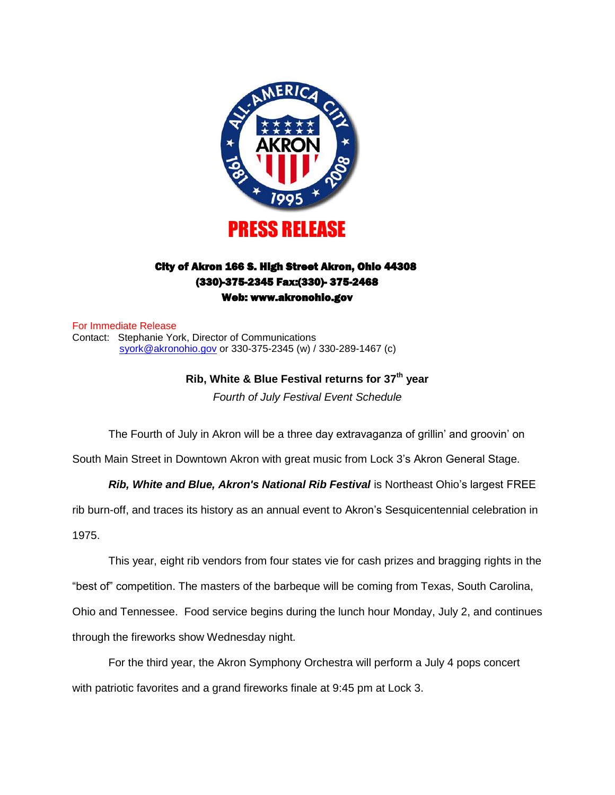

# City of Akron 166 S. High Street Akron, Ohio 44308 (330)-375-2345 Fax:(330)- 375-2468 Web: www.akronohio.gov

For Immediate Release Contact: Stephanie York, Director of Communications [syork@akronohio.gov](mailto:syork@akronohio.gov) or 330-375-2345 (w) / 330-289-1467 (c)

> **Rib, White & Blue Festival returns for 37th year** *Fourth of July Festival Event Schedule*

The Fourth of July in Akron will be a three day extravaganza of grillin' and groovin' on

South Main Street in Downtown Akron with great music from Lock 3's Akron General Stage.

#### *Rib, White and Blue, Akron's National Rib Festival* is Northeast Ohio's largest FREE

rib burn-off, and traces its history as an annual event to Akron's Sesquicentennial celebration in 1975.

This year, eight rib vendors from four states vie for cash prizes and bragging rights in the "best of" competition. The masters of the barbeque will be coming from Texas, South Carolina, Ohio and Tennessee. Food service begins during the lunch hour Monday, July 2, and continues through the fireworks show Wednesday night.

For the third year, the Akron Symphony Orchestra will perform a July 4 pops concert with patriotic favorites and a grand fireworks finale at 9:45 pm at Lock 3.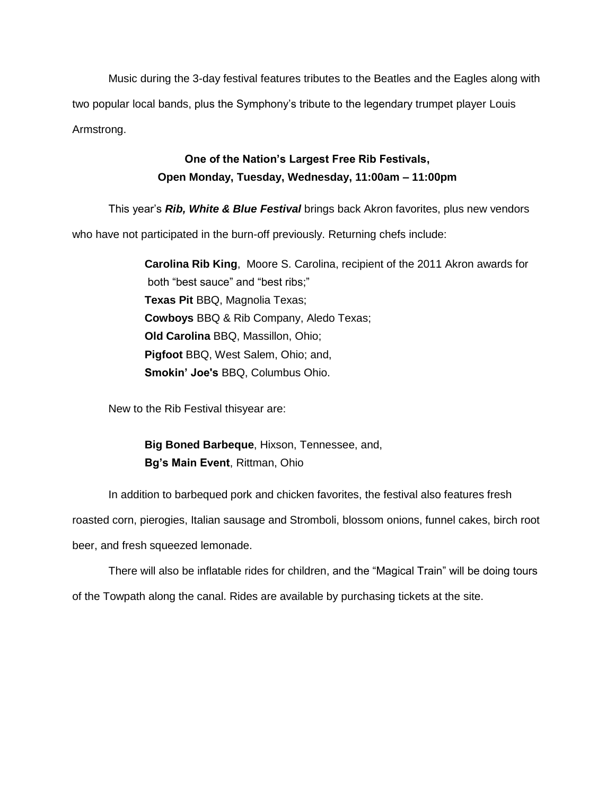Music during the 3-day festival features tributes to the Beatles and the Eagles along with two popular local bands, plus the Symphony's tribute to the legendary trumpet player Louis Armstrong.

# **One of the Nation's Largest Free Rib Festivals, Open Monday, Tuesday, Wednesday, 11:00am – 11:00pm**

This year's *Rib, White & Blue Festival* brings back Akron favorites, plus new vendors who have not participated in the burn-off previously. Returning chefs include:

> **Carolina Rib King**, Moore S. Carolina, recipient of the 2011 Akron awards for both "best sauce" and "best ribs;" **Texas Pit** BBQ, Magnolia Texas; **Cowboys** BBQ & Rib Company, Aledo Texas; **Old Carolina** BBQ, Massillon, Ohio; **Pigfoot** BBQ, West Salem, Ohio; and, **Smokin' Joe's** BBQ, Columbus Ohio.

New to the Rib Festival thisyear are:

**Big Boned Barbeque**, Hixson, Tennessee, and, **Bg's Main Event**, Rittman, Ohio

In addition to barbequed pork and chicken favorites, the festival also features fresh

roasted corn, pierogies, Italian sausage and Stromboli, blossom onions, funnel cakes, birch root beer, and fresh squeezed lemonade.

There will also be inflatable rides for children, and the "Magical Train" will be doing tours of the Towpath along the canal. Rides are available by purchasing tickets at the site.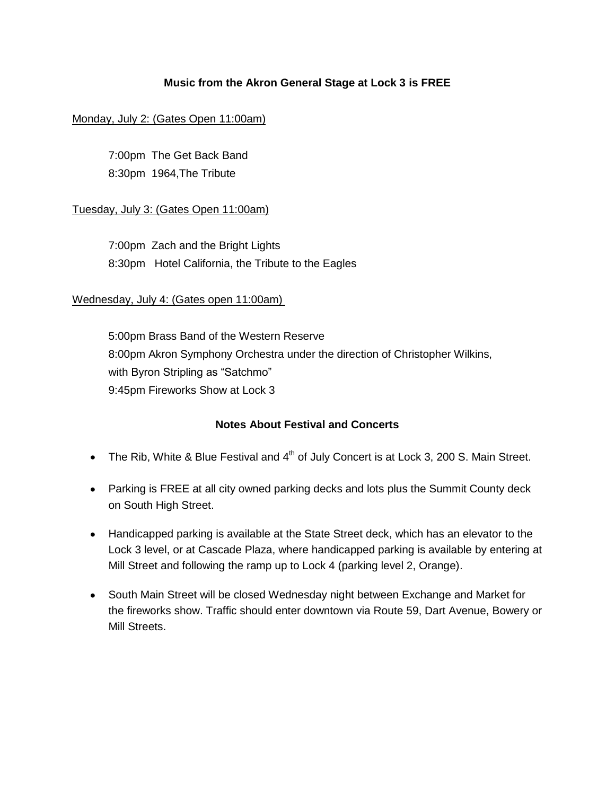# **Music from the Akron General Stage at Lock 3 is FREE**

### Monday, July 2: (Gates Open 11:00am)

7:00pm The Get Back Band 8:30pm 1964,The Tribute

### Tuesday, July 3: (Gates Open 11:00am)

7:00pm Zach and the Bright Lights 8:30pm Hotel California, the Tribute to the Eagles

### Wednesday, July 4: (Gates open 11:00am)

5:00pm Brass Band of the Western Reserve 8:00pm Akron Symphony Orchestra under the direction of Christopher Wilkins, with Byron Stripling as "Satchmo" 9:45pm Fireworks Show at Lock 3

# **Notes About Festival and Concerts**

- The Rib, White & Blue Festival and  $4^{\text{th}}$  of July Concert is at Lock 3, 200 S. Main Street.
- Parking is FREE at all city owned parking decks and lots plus the Summit County deck on South High Street.
- Handicapped parking is available at the State Street deck, which has an elevator to the Lock 3 level, or at Cascade Plaza, where handicapped parking is available by entering at Mill Street and following the ramp up to Lock 4 (parking level 2, Orange).
- South Main Street will be closed Wednesday night between Exchange and Market for the fireworks show. Traffic should enter downtown via Route 59, Dart Avenue, Bowery or Mill Streets.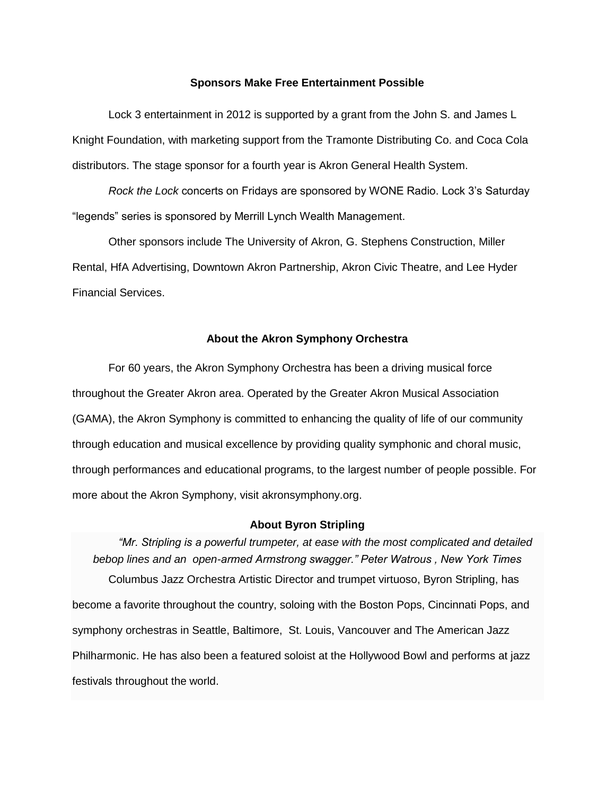#### **Sponsors Make Free Entertainment Possible**

Lock 3 entertainment in 2012 is supported by a grant from the John S. and James L Knight Foundation, with marketing support from the Tramonte Distributing Co. and Coca Cola distributors. The stage sponsor for a fourth year is Akron General Health System.

*Rock the Lock* concerts on Fridays are sponsored by WONE Radio. Lock 3's Saturday "legends" series is sponsored by Merrill Lynch Wealth Management.

Other sponsors include The University of Akron, G. Stephens Construction, Miller Rental, HfA Advertising, Downtown Akron Partnership, Akron Civic Theatre, and Lee Hyder Financial Services.

#### **About the Akron Symphony Orchestra**

For 60 years, the Akron Symphony Orchestra has been a driving musical force throughout the Greater Akron area. Operated by the Greater Akron Musical Association (GAMA), the Akron Symphony is committed to enhancing the quality of life of our community through education and musical excellence by providing quality symphonic and choral music, through performances and educational programs, to the largest number of people possible. For more about the Akron Symphony, visit akronsymphony.org.

#### **About Byron Stripling**

*"Mr. Stripling is a powerful trumpeter, at ease with the most complicated and detailed bebop lines and an open-armed Armstrong swagger." Peter Watrous , New York Times* Columbus Jazz Orchestra Artistic Director and trumpet virtuoso, Byron Stripling, has become a favorite throughout the country, soloing with the Boston Pops, Cincinnati Pops, and symphony orchestras in Seattle, Baltimore, St. Louis, Vancouver and The American Jazz Philharmonic. He has also been a featured soloist at the Hollywood Bowl and performs at jazz festivals throughout the world.